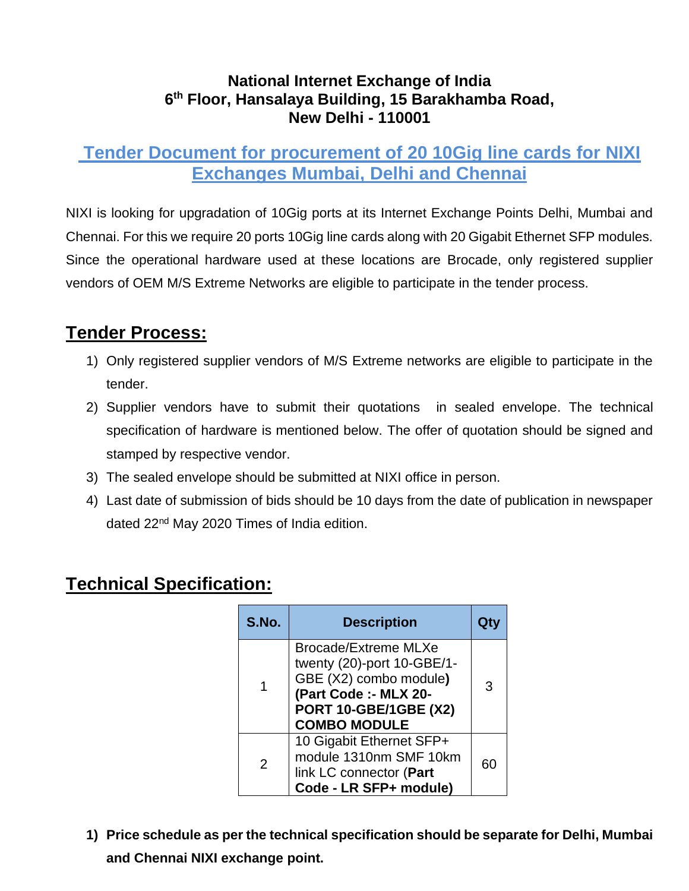#### **National Internet Exchange of India 6 th Floor, Hansalaya Building, 15 Barakhamba Road, New Delhi - 110001**

## **Tender Document for procurement of 20 10Gig line cards for NIXI Exchanges Mumbai, Delhi and Chennai**

NIXI is looking for upgradation of 10Gig ports at its Internet Exchange Points Delhi, Mumbai and Chennai. For this we require 20 ports 10Gig line cards along with 20 Gigabit Ethernet SFP modules. Since the operational hardware used at these locations are Brocade, only registered supplier vendors of OEM M/S Extreme Networks are eligible to participate in the tender process.

# **Tender Process:**

- 1) Only registered supplier vendors of M/S Extreme networks are eligible to participate in the tender.
- 2) Supplier vendors have to submit their quotations in sealed envelope. The technical specification of hardware is mentioned below. The offer of quotation should be signed and stamped by respective vendor.
- 3) The sealed envelope should be submitted at NIXI office in person.
- 4) Last date of submission of bids should be 10 days from the date of publication in newspaper dated 22<sup>nd</sup> May 2020 Times of India edition.

## **Technical Specification:**

| S.No. | <b>Description</b>                                                                                                                                           |    |
|-------|--------------------------------------------------------------------------------------------------------------------------------------------------------------|----|
|       | <b>Brocade/Extreme MLXe</b><br>twenty (20)-port 10-GBE/1-<br>GBE (X2) combo module)<br>(Part Code :- MLX 20-<br>PORT 10-GBE/1GBE (X2)<br><b>COMBO MODULE</b> | 3  |
| 2     | 10 Gigabit Ethernet SFP+<br>module 1310nm SMF 10km<br>link LC connector (Part<br>Code - LR SFP+ module)                                                      | 60 |

**1) Price schedule as per the technical specification should be separate for Delhi, Mumbai and Chennai NIXI exchange point.**